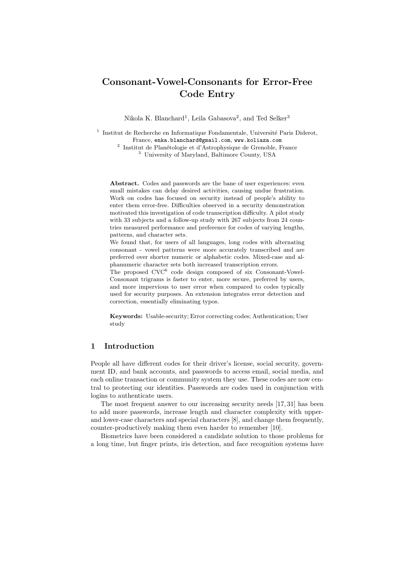# Consonant-Vowel-Consonants for Error-Free Code Entry

Nikola K. Blanchard<sup>1</sup>, Leila Gabasova<sup>2</sup>, and Ted Selker<sup>3</sup>

<sup>1</sup> Institut de Recherche en Informatique Fondamentale, Université Paris Diderot, France, enka.blanchard@gmail.com, www.koliaza.com

<sup>2</sup> Institut de Planétologie et d'Astrophysique de Grenoble, France

<sup>3</sup> University of Maryland, Baltimore County, USA

Abstract. Codes and passwords are the bane of user experiences: even small mistakes can delay desired activities, causing undue frustration. Work on codes has focused on security instead of people's ability to enter them error-free. Difficulties observed in a security demonstration motivated this investigation of code transcription difficulty. A pilot study with 33 subjects and a follow-up study with 267 subjects from 24 countries measured performance and preference for codes of varying lengths, patterns, and character sets.

We found that, for users of all languages, long codes with alternating consonant - vowel patterns were more accurately transcribed and are preferred over shorter numeric or alphabetic codes. Mixed-case and alphanumeric character sets both increased transcription errors.

The proposed CVC<sup>6</sup> code design composed of six Consonant-Vowel-Consonant trigrams is faster to enter, more secure, preferred by users, and more impervious to user error when compared to codes typically used for security purposes. An extension integrates error detection and correction, essentially eliminating typos.

Keywords: Usable-security; Error correcting codes; Authentication; User study

### 1 Introduction

People all have different codes for their driver's license, social security, government ID, and bank accounts, and passwords to access email, social media, and each online transaction or community system they use. These codes are now central to protecting our identities. Passwords are codes used in conjunction with logins to authenticate users.

The most frequent answer to our increasing security needs [17, 31] has been to add more passwords, increase length and character complexity with upperand lower-case characters and special characters [8], and change them frequently, counter-productively making them even harder to remember [10].

Biometrics have been considered a candidate solution to those problems for a long time, but finger prints, iris detection, and face recognition systems have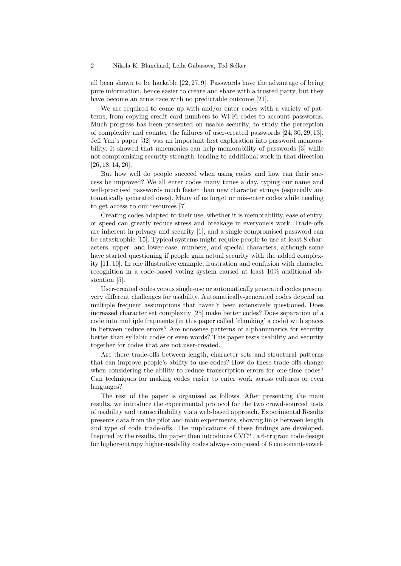all been shown to be hackable [22, 27, 9]. Passwords have the advantage of being pure information, hence easier to create and share with a trusted party, but they have become an arms race with no predictable outcome [21].

We are required to come up with and/or enter codes with a variety of patterns, from copying credit card numbers to Wi-Fi codes to account passwords. Much progress has been presented on usable security, to study the perception of complexity and counter the failures of user-created passwords [24, 30, 29, 13]. Jeff Yan's paper [32] was an important first exploration into password memorability. It showed that mnemonics can help memorability of passwords [3] while not compromising security strength, leading to additional work in that direction [26, 18, 14, 20].

But how well do people succeed when using codes and how can their success be improved? We all enter codes many times a day, typing our name and well-practised passwords much faster than new character strings (especially automatically generated ones). Many of us forget or mis-enter codes while needing to get access to our resources [7].

Creating codes adapted to their use, whether it is memorability, ease of entry, or speed can greatly reduce stress and breakage in everyone's work. Trade-offs are inherent in privacy and security [1], and a single compromised password can be catastrophic [15]. Typical systems might require people to use at least 8 characters, upper- and lower-case, numbers, and special characters, although some have started questioning if people gain actual security with the added complexity [11, 10]. In one illustrative example, frustration and confusion with character recognition in a code-based voting system caused at least 10% additional abstention [5].

User-created codes versus single-use or automatically generated codes present very different challenges for usability. Automatically-generated codes depend on multiple frequent assumptions that haven't been extensively questioned. Does increased character set complexity [25] make better codes? Does separation of a code into multiple fragments (in this paper called 'chunking' a code) with spaces in between reduce errors? Are nonsense patterns of alphanumerics for security better than syllabic codes or even words? This paper tests usability and security together for codes that are not user-created.

Are there trade-offs between length, character sets and structural patterns that can improve people's ability to use codes? How do these trade-offs change when considering the ability to reduce transcription errors for one-time codes? Can techniques for making codes easier to enter work across cultures or even languages?

The rest of the paper is organised as follows. After presenting the main results, we introduce the experimental protocol for the two crowd-sourced tests of usability and transcribability via a web-based approach. Experimental Results presents data from the pilot and main experiments, showing links between length and type of code trade-offs. The implications of these findings are developed. Inspired by the results, the paper then introduces CVC<sup>6</sup>, a 6-trigram code design for higher-entropy higher-usability codes always composed of 6 consonant-vowel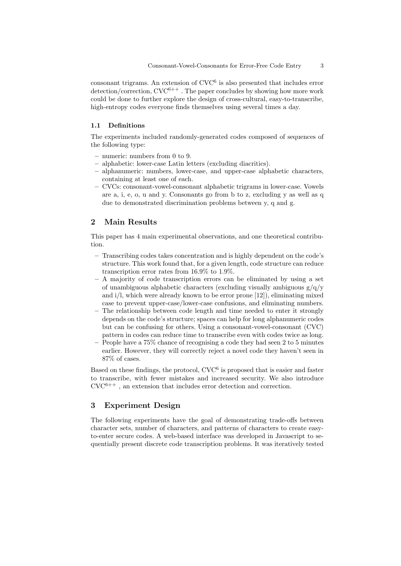consonant trigrams. An extension of CVC<sup>6</sup> is also presented that includes error detection/correction,  $\text{CVC}^{6++}$ . The paper concludes by showing how more work could be done to further explore the design of cross-cultural, easy-to-transcribe, high-entropy codes everyone finds themselves using several times a day.

#### 1.1 Definitions

The experiments included randomly-generated codes composed of sequences of the following type:

- numeric: numbers from 0 to 9.
- alphabetic: lower-case Latin letters (excluding diacritics).
- alphanumeric: numbers, lower-case, and upper-case alphabetic characters, containing at least one of each.
- CVCs: consonant-vowel-consonant alphabetic trigrams in lower-case. Vowels are a, i, e, o, u and y. Consonants go from b to z, excluding y as well as q due to demonstrated discrimination problems between y, q and g.

### 2 Main Results

This paper has 4 main experimental observations, and one theoretical contribution.

- Transcribing codes takes concentration and is highly dependent on the code's structure. This work found that, for a given length, code structure can reduce transcription error rates from 16.9% to 1.9%.
- A majority of code transcription errors can be eliminated by using a set of unambiguous alphabetic characters (excluding visually ambiguous  $g/q/y$ and i/l, which were already known to be error prone [12]), eliminating mixed case to prevent upper-case/lower-case confusions, and eliminating numbers.
- The relationship between code length and time needed to enter it strongly depends on the code's structure; spaces can help for long alphanumeric codes but can be confusing for others. Using a consonant-vowel-consonant (CVC) pattern in codes can reduce time to transcribe even with codes twice as long.
- People have a 75% chance of recognising a code they had seen 2 to 5 minutes earlier. However, they will correctly reject a novel code they haven't seen in 87% of cases.

Based on these findings, the protocol, CVC<sup>6</sup> is proposed that is easier and faster to transcribe, with fewer mistakes and increased security. We also introduce  $\text{CVC}^{6++}$ , an extension that includes error detection and correction.

### 3 Experiment Design

The following experiments have the goal of demonstrating trade-offs between character sets, number of characters, and patterns of characters to create easyto-enter secure codes. A web-based interface was developed in Javascript to sequentially present discrete code transcription problems. It was iteratively tested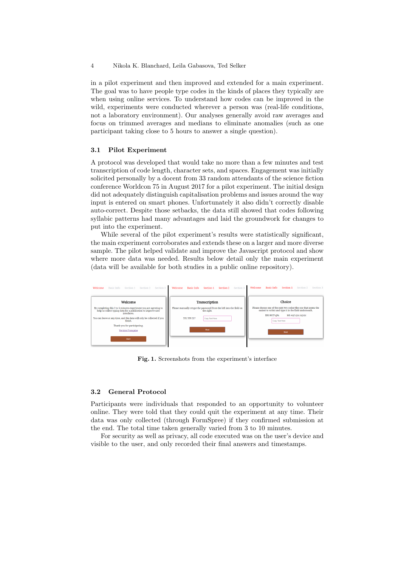in a pilot experiment and then improved and extended for a main experiment. The goal was to have people type codes in the kinds of places they typically are when using online services. To understand how codes can be improved in the wild, experiments were conducted wherever a person was (real-life conditions, not a laboratory environment). Our analyses generally avoid raw averages and focus on trimmed averages and medians to eliminate anomalies (such as one participant taking close to 5 hours to answer a single question).

### 3.1 Pilot Experiment

A protocol was developed that would take no more than a few minutes and test transcription of code length, character sets, and spaces. Engagement was initially solicited personally by a docent from 33 random attendants of the science fiction conference Worldcon 75 in August 2017 for a pilot experiment. The initial design did not adequately distinguish capitalisation problems and issues around the way input is entered on smart phones. Unfortunately it also didn't correctly disable auto-correct. Despite those setbacks, the data still showed that codes following syllabic patterns had many advantages and laid the groundwork for changes to put into the experiment.

While several of the pilot experiment's results were statistically significant, the main experiment corroborates and extends these on a larger and more diverse sample. The pilot helped validate and improve the Javascript protocol and show where more data was needed. Results below detail only the main experiment (data will be available for both studies in a public online repository).



Fig. 1. Screenshots from the experiment's interface

#### 3.2 General Protocol

Participants were individuals that responded to an opportunity to volunteer online. They were told that they could quit the experiment at any time. Their data was only collected (through FormSpree) if they confirmed submission at the end. The total time taken generally varied from 3 to 10 minutes.

For security as well as privacy, all code executed was on the user's device and visible to the user, and only recorded their final answers and timestamps.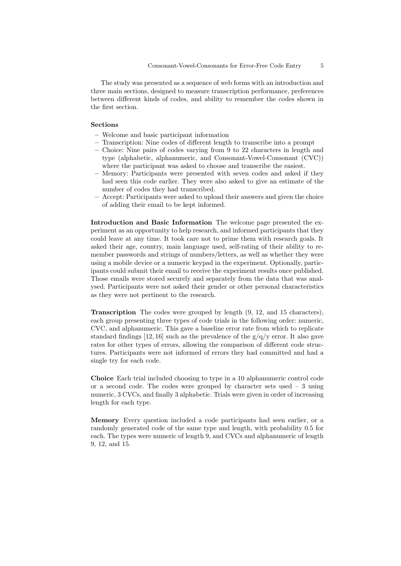The study was presented as a sequence of web forms with an introduction and three main sections, designed to measure transcription performance, preferences between different kinds of codes, and ability to remember the codes shown in the first section.

#### Sections

- Welcome and basic participant information
- Transcription: Nine codes of different length to transcribe into a prompt
- Choice: Nine pairs of codes varying from 9 to 22 characters in length and type (alphabetic, alphanumeric, and Consonant-Vowel-Consonant (CVC)) where the participant was asked to choose and transcribe the easiest.
- Memory: Participants were presented with seven codes and asked if they had seen this code earlier. They were also asked to give an estimate of the number of codes they had transcribed.
- Accept: Participants were asked to upload their answers and given the choice of adding their email to be kept informed.

Introduction and Basic Information The welcome page presented the experiment as an opportunity to help research, and informed participants that they could leave at any time. It took care not to prime them with research goals. It asked their age, country, main language used, self-rating of their ability to remember passwords and strings of numbers/letters, as well as whether they were using a mobile device or a numeric keypad in the experiment. Optionally, participants could submit their email to receive the experiment results once published. Those emails were stored securely and separately from the data that was analysed. Participants were not asked their gender or other personal characteristics as they were not pertinent to the research.

Transcription The codes were grouped by length (9, 12, and 15 characters), each group presenting three types of code trials in the following order: numeric, CVC, and alphanumeric. This gave a baseline error rate from which to replicate standard findings [12, 16] such as the prevalence of the  $g/q/y$  error. It also gave rates for other types of errors, allowing the comparison of different code structures. Participants were not informed of errors they had committed and had a single try for each code.

Choice Each trial included choosing to type in a 10 alphanumeric control code or a second code. The codes were grouped by character sets used  $-3$  using numeric, 3 CVCs, and finally 3 alphabetic. Trials were given in order of increasing length for each type.

Memory Every question included a code participants had seen earlier, or a randomly generated code of the same type and length, with probability 0.5 for each. The types were numeric of length 9, and CVCs and alphanumeric of length 9, 12, and 15.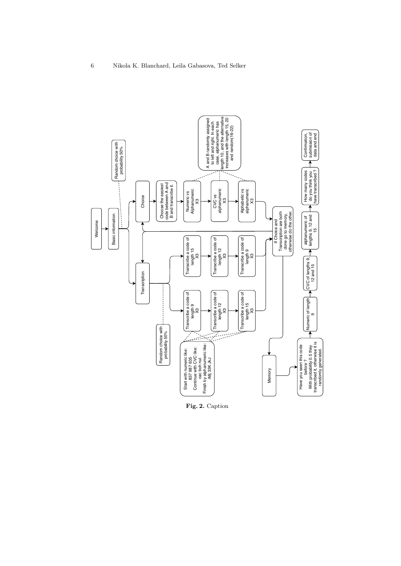

Fig. 2. Caption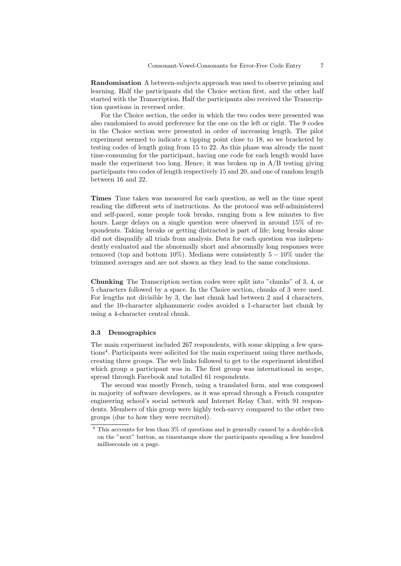Randomisation A between-subjects approach was used to observe priming and learning. Half the participants did the Choice section first, and the other half started with the Transcription. Half the participants also received the Transcription questions in reversed order.

For the Choice section, the order in which the two codes were presented was also randomised to avoid preference for the one on the left or right. The 9 codes in the Choice section were presented in order of increasing length. The pilot experiment seemed to indicate a tipping point close to 18, so we bracketed by testing codes of length going from 15 to 22. As this phase was already the most time-consuming for the participant, having one code for each length would have made the experiment too long. Hence, it was broken up in  $A/B$  testing giving participants two codes of length respectively 15 and 20, and one of random length between 16 and 22.

Times Time taken was measured for each question, as well as the time spent reading the different sets of instructions. As the protocol was self-administered and self-paced, some people took breaks, ranging from a few minutes to five hours. Large delays on a single question were observed in around 15% of respondents. Taking breaks or getting distracted is part of life; long breaks alone did not disqualify all trials from analysis. Data for each question was independently evaluated and the abnormally short and abnormally long responses were removed (top and bottom 10%). Medians were consistently  $5 - 10\%$  under the trimmed averages and are not shown as they lead to the same conclusions.

Chunking The Transcription section codes were split into "chunks" of 3, 4, or 5 characters followed by a space. In the Choice section, chunks of 3 were used. For lengths not divisible by 3, the last chunk had between 2 and 4 characters, and the 10-character alphanumeric codes avoided a 1-character last chunk by using a 4-character central chunk.

#### 3.3 Demographics

The main experiment included 267 respondents, with some skipping a few questions<sup>4</sup>. Participants were solicited for the main experiment using three methods, creating three groups. The web links followed to get to the experiment identified which group a participant was in. The first group was international in scope, spread through Facebook and totalled 61 respondents.

The second was mostly French, using a translated form, and was composed in majority of software developers, as it was spread through a French computer engineering school's social network and Internet Relay Chat, with 91 respondents. Members of this group were highly tech-savvy compared to the other two groups (due to how they were recruited).

 $^4$  This accounts for less than  $3\%$  of questions and is generally caused by a double-click on the "next" button, as timestamps show the participants spending a few hundred milliseconds on a page.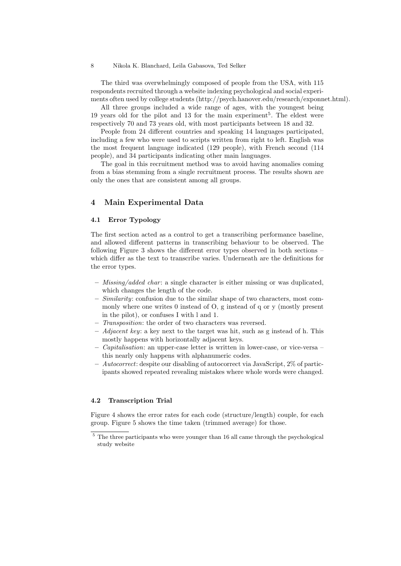The third was overwhelmingly composed of people from the USA, with 115 respondents recruited through a website indexing psychological and social experiments often used by college students (http://psych.hanover.edu/research/exponnet.html).

All three groups included a wide range of ages, with the youngest being 19 years old for the pilot and 13 for the main experiment<sup>5</sup>. The eldest were respectively 70 and 73 years old, with most participants between 18 and 32.

People from 24 different countries and speaking 14 languages participated, including a few who were used to scripts written from right to left. English was the most frequent language indicated (129 people), with French second (114 people), and 34 participants indicating other main languages.

The goal in this recruitment method was to avoid having anomalies coming from a bias stemming from a single recruitment process. The results shown are only the ones that are consistent among all groups.

### 4 Main Experimental Data

### 4.1 Error Typology

The first section acted as a control to get a transcribing performance baseline, and allowed different patterns in transcribing behaviour to be observed. The following Figure 3 shows the different error types observed in both sections – which differ as the text to transcribe varies. Underneath are the definitions for the error types.

- $-$  *Missing/added char*: a single character is either missing or was duplicated, which changes the length of the code.
- Similarity: confusion due to the similar shape of two characters, most commonly where one writes 0 instead of O, g instead of q or y (mostly present in the pilot), or confuses I with l and 1.
- Transposition: the order of two characters was reversed.
- $-$  Adjacent key: a key next to the target was hit, such as g instead of h. This mostly happens with horizontally adjacent keys.
- Capitalisation: an upper-case letter is written in lower-case, or vice-versa this nearly only happens with alphanumeric codes.
- $-$  Autocorrect: despite our disabling of autocorrect via JavaScript,  $2\%$  of participants showed repeated revealing mistakes where whole words were changed.

### 4.2 Transcription Trial

Figure 4 shows the error rates for each code (structure/length) couple, for each group. Figure 5 shows the time taken (trimmed average) for those.

 $^{\rm 5}$  The three participants who were younger than 16 all came through the psychological study website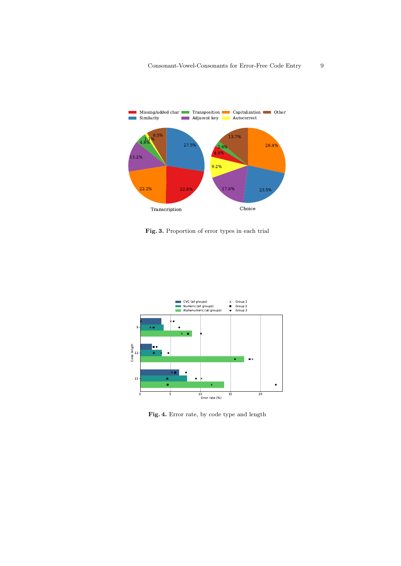

Fig. 3. Proportion of error types in each trial



Fig. 4. Error rate, by code type and length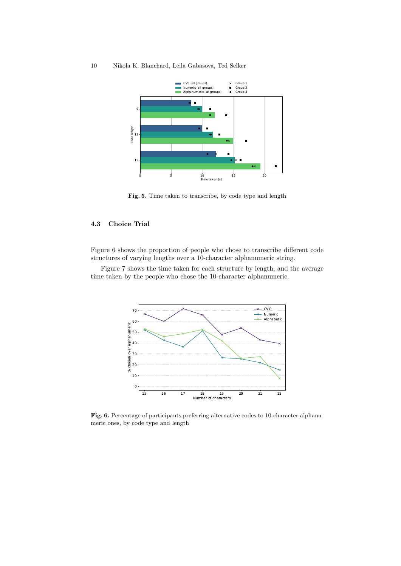

Fig. 5. Time taken to transcribe, by code type and length

### 4.3 Choice Trial

Figure 6 shows the proportion of people who chose to transcribe different code structures of varying lengths over a 10-character alphanumeric string.

Figure 7 shows the time taken for each structure by length, and the average time taken by the people who chose the 10-character alphanumeric.



Fig. 6. Percentage of participants preferring alternative codes to 10-character alphanumeric ones, by code type and length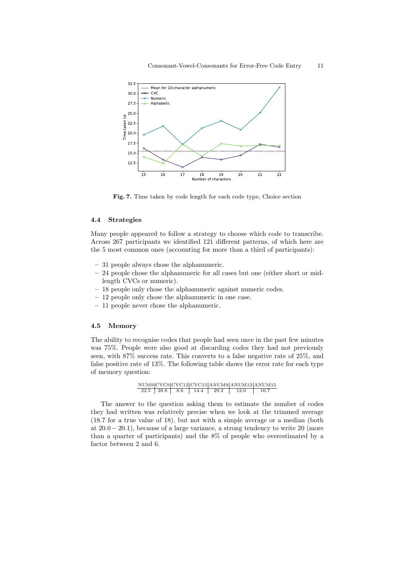

Fig. 7. Time taken by code length for each code type, Choice section

### 4.4 Strategies

Many people appeared to follow a strategy to choose which code to transcribe. Across 267 participants we identified 121 different patterns, of which here are the 5 most common ones (accounting for more than a third of participants):

- 31 people always chose the alphanumeric.
- 24 people chose the alphanumeric for all cases but one (either short or midlength CVCs or numeric).
- 18 people only chose the alphanumeric against numeric codes.
- 12 people only chose the alphanumeric in one case.
- 11 people never chose the alphanumeric.

### 4.5 Memory

The ability to recognise codes that people had seen once in the past few minutes was 75%. People were also good at discarding codes they had not previously seen, with 87% success rate. This converts to a false negative rate of 25%, and false positive rate of 13%. The following table shows the error rate for each type of memory question:

```
NUM9 CVC9 CVC12 CVC15 ANUM9 ANUM12 ANUM15
22.5 28.8 8.6 14.4 29.2 12.0 16.7
```
The answer to the question asking them to estimate the number of codes they had written was relatively precise when we look at the trimmed average (18.7 for a true value of 18), but not with a simple average or a median (both at 20.0 − 20.1), because of a large variance, a strong tendency to write 20 (more than a quarter of participants) and the 8% of people who overestimated by a factor between 2 and 6.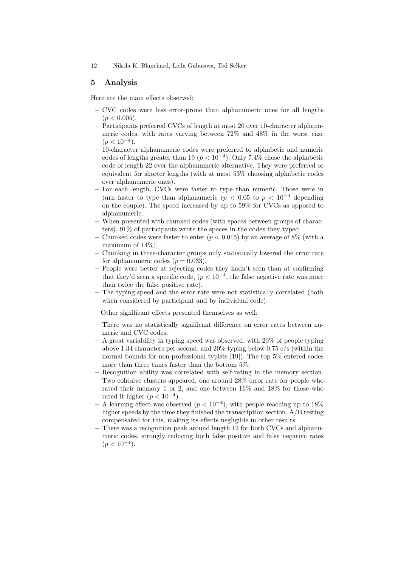### 5 Analysis

Here are the main effects observed:

- CVC codes were less error-prone than alphanumeric ones for all lengths  $(p < 0.005)$ .
- Participants preferred CVCs of length at most 20 over 10-character alphanumeric codes, with rates varying between 72% and 48% in the worst case  $(p < 10^{-4}).$
- 10-character alphanumeric codes were preferred to alphabetic and numeric codes of lengths greater than 19 ( $p < 10^{-4}$ ). Only 7.4% chose the alphabetic code of length 22 over the alphanumeric alternative. They were preferred or equivalent for shorter lengths (with at most 53% choosing alphabetic codes over alphanumeric ones).
- For each length, CVCs were faster to type than numeric. Those were in turn faster to type than alphanumeric ( $p < 0.05$  to  $p < 10^{-4}$  depending on the couple). The speed increased by up to 59% for CVCs as opposed to alphanumeric.
- When presented with chunked codes (with spaces between groups of characters), 91% of participants wrote the spaces in the codes they typed.
- Chunked codes were faster to enter  $(p < 0.015)$  by an average of 8% (with a maximum of  $14\%$ ).
- Chunking in three-character groups only statistically lowered the error rate for alphanumeric codes  $(p = 0.033)$ .
- People were better at rejecting codes they hadn't seen than at confirming that they'd seen a specific code,  $(p < 10^{-4}$ , the false negative rate was more than twice the false positive rate).
- The typing speed and the error rate were not statistically correlated (both when considered by participant and by individual code).

Other significant effects presented themselves as well:

- There was no statistically significant difference on error rates between numeric and CVC codes.
- A great variability in typing speed was observed, with 20% of people typing above 1.34 characters per second, and 20% typing below 0.75 c/s (within the normal bounds for non-professional typists [19]). The top 5% entered codes more than three times faster than the bottom 5%.
- Recognition ability was correlated with self-rating in the memory section. Two cohesive clusters appeared, one around 28% error rate for people who rated their memory 1 or 2, and one between 16% and 18% for those who rated it higher  $(p < 10^{-4})$ .
- A learning effect was observed  $(p < 10^{-4})$ , with people reaching up to 18% higher speeds by the time they finished the transcription section. A/B testing compensated for this, making its effects negligible in other results.
- There was a recognition peak around length 12 for both CVCs and alphanumeric codes, strongly reducing both false positive and false negative rates  $(p < 10^{-4}).$

<sup>12</sup> Nikola K. Blanchard, Leila Gabasova, Ted Selker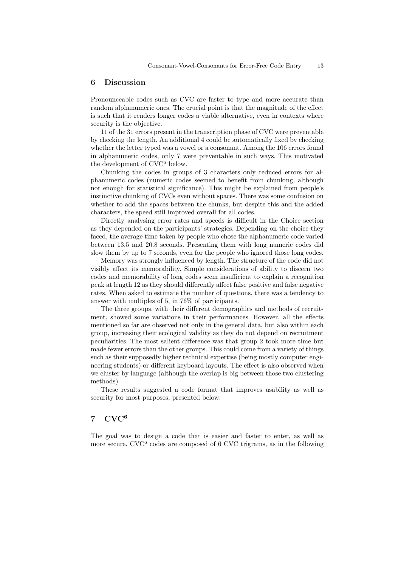#### 6 Discussion

Pronounceable codes such as CVC are faster to type and more accurate than random alphanumeric ones. The crucial point is that the magnitude of the effect is such that it renders longer codes a viable alternative, even in contexts where security is the objective.

11 of the 31 errors present in the transcription phase of CVC were preventable by checking the length. An additional 4 could be automatically fixed by checking whether the letter typed was a vowel or a consonant. Among the 106 errors found in alphanumeric codes, only 7 were preventable in such ways. This motivated the development of CVC<sup>6</sup> below.

Chunking the codes in groups of 3 characters only reduced errors for alphanumeric codes (numeric codes seemed to benefit from chunking, although not enough for statistical significance). This might be explained from people's instinctive chunking of CVCs even without spaces. There was some confusion on whether to add the spaces between the chunks, but despite this and the added characters, the speed still improved overall for all codes.

Directly analysing error rates and speeds is difficult in the Choice section as they depended on the participants' strategies. Depending on the choice they faced, the average time taken by people who chose the alphanumeric code varied between 13.5 and 20.8 seconds. Presenting them with long numeric codes did slow them by up to 7 seconds, even for the people who ignored those long codes.

Memory was strongly influenced by length. The structure of the code did not visibly affect its memorability. Simple considerations of ability to discern two codes and memorability of long codes seem insufficient to explain a recognition peak at length 12 as they should differently affect false positive and false negative rates. When asked to estimate the number of questions, there was a tendency to answer with multiples of 5, in 76% of participants.

The three groups, with their different demographics and methods of recruitment, showed some variations in their performances. However, all the effects mentioned so far are observed not only in the general data, but also within each group, increasing their ecological validity as they do not depend on recruitment peculiarities. The most salient difference was that group 2 took more time but made fewer errors than the other groups. This could come from a variety of things such as their supposedly higher technical expertise (being mostly computer engineering students) or different keyboard layouts. The effect is also observed when we cluster by language (although the overlap is big between those two clustering methods).

These results suggested a code format that improves usability as well as security for most purposes, presented below.

### $7 \quad CVC^6$

The goal was to design a code that is easier and faster to enter, as well as more secure. CVC<sup>6</sup> codes are composed of 6 CVC trigrams, as in the following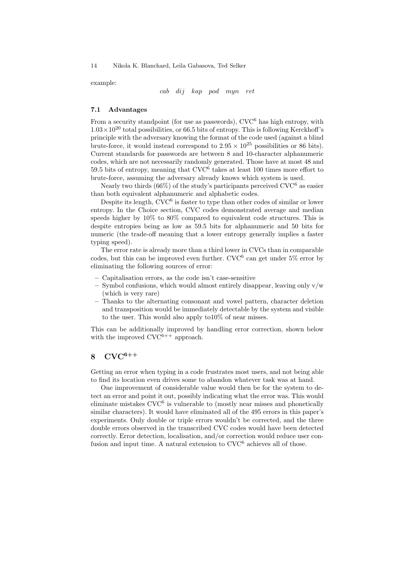example:

```
cab dij kap pod myn ret
```
#### 7.1 Advantages

From a security standpoint (for use as passwords),  $CVC<sup>6</sup>$  has high entropy, with  $1.03\times10^{20}$  total possibilities, or 66.5 bits of entropy. This is following Kerckhoff's principle with the adversary knowing the format of the code used (against a blind brute-force, it would instead correspond to  $2.95 \times 10^{25}$  possibilities or 86 bits). Current standards for passwords are between 8 and 10-character alphanumeric codes, which are not necessarily randomly generated. Those have at most 48 and 59.5 bits of entropy, meaning that CVC<sup>6</sup> takes at least 100 times more effort to brute-force, assuming the adversary already knows which system is used.

Nearly two thirds  $(66\%)$  of the study's participants perceived  $\text{CVC}^6$  as easier than both equivalent alphanumeric and alphabetic codes.

Despite its length, CVC<sup>6</sup> is faster to type than other codes of similar or lower entropy. In the Choice section, CVC codes demonstrated average and median speeds higher by 10% to 80% compared to equivalent code structures. This is despite entropies being as low as 59.5 bits for alphanumeric and 50 bits for numeric (the trade-off meaning that a lower entropy generally implies a faster typing speed).

The error rate is already more than a third lower in CVCs than in comparable codes, but this can be improved even further.  $CVC^6$  can get under 5% error by eliminating the following sources of error:

- Capitalisation errors, as the code isn't case-sensitive
- $-$  Symbol confusions, which would almost entirely disappear, leaving only  $v/w$ (which is very rare)
- Thanks to the alternating consonant and vowel pattern, character deletion and transposition would be immediately detectable by the system and visible to the user. This would also apply to10% of near misses.

This can be additionally improved by handling error correction, shown below with the improved  $\text{CVC}^{6++}$  approach.

## 8 CVC6++

Getting an error when typing in a code frustrates most users, and not being able to find its location even drives some to abandon whatever task was at hand.

One improvement of considerable value would then be for the system to detect an error and point it out, possibly indicating what the error was. This would eliminate mistakes CVC<sup>6</sup> is vulnerable to (mostly near misses and phonetically similar characters). It would have eliminated all of the 495 errors in this paper's experiments. Only double or triple errors wouldn't be corrected, and the three double errors observed in the transcribed CVC codes would have been detected correctly. Error detection, localisation, and/or correction would reduce user confusion and input time. A natural extension to CVC<sup>6</sup> achieves all of those.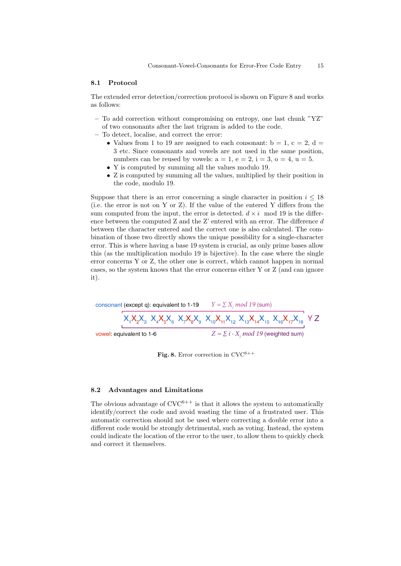#### 8.1 Protocol

The extended error detection/correction protocol is shown on Figure 8 and works as follows:

- To add correction without compromising on entropy, one last chunk "YZ" of two consonants after the last trigram is added to the code.
- To detect, localise, and correct the error:
	- Values from 1 to 19 are assigned to each consonant:  $b = 1$ ,  $c = 2$ ,  $d =$ 3 etc. Since consonants and vowels are not used in the same position, numbers can be reused by vowels:  $a = 1$ ,  $e = 2$ ,  $i = 3$ ,  $o = 4$ ,  $u = 5$ .
	- Y is computed by summing all the values modulo 19.
	- Z is computed by summing all the values, multiplied by their position in the code, modulo 19.

Suppose that there is an error concerning a single character in position  $i \leq 18$ (i.e. the error is not on Y or Z). If the value of the entered Y differs from the sum computed from the input, the error is detected.  $d \times i$  mod 19 is the difference between the computed  $Z$  and the  $Z'$  entered with an error. The difference  $d$ between the character entered and the correct one is also calculated. The combination of those two directly shows the unique possibility for a single-character error. This is where having a base 19 system is crucial, as only prime bases allow this (as the multiplication modulo 19 is bijective). In the case where the single error concerns Y or Z, the other one is correct, which cannot happen in normal cases, so the system knows that the error concerns either Y or Z (and can ignore it).

\n consonant (except q): equivalent to 1-19 
$$
Y = \sum X_i \mod 19
$$
 (sum)\n

\n\n $X_1 X_2 X_3 X_4 X_5 X_6 X_7 X_8 X_9 X_{10} X_{11} X_{12} X_{13} X_{14} X_{15} X_{16} X_{17} X_{18}$ \n

\n\n You can be used to find the following equations:\n

\n\n You can be used to find the following equations:\n

\n\n You can be used to find the following equations:\n

\n\n You can be used to find the following equations:\n

\n\n You can be used to find the following equations:\n

\n\n You can be used to find the following equations:\n

\n\n You can be used to find the following equations:\n

\n\n You can be used to find the following equations:\n

\n\n You can be used to find the following equations:\n

\n\n You can be used to find the following equations:\n

\n\n You can be used to find the following equations:\n

\n\n You can be used to find the following equations:\n

\n\n You can be used to find the following equations:\n

\n\n You can be used to find the following equations:\n

\n\n You can be used to find the following equations:\n

\n\n You can be used to find the following equations:\n

\n\n You can be used to find the following equations:\n

\n\n You can be used to find the following equations:\n

\n\n You can be used to find the following equations:\n

\n\n You can be used to find the following equations:\n

\n\n You can be used to find the following equations:\n

\n\n You can be used to find the following equations:\n

\n\n You can be used to find the following equations:\n

\n\n You can be used to find the following equations:\n

\n\n You can be used to find the following equations:\n

\n\n You can be used to find the following equations:\n

\n\n You can be used to find the following equations:\n

\n\n You can be used to find the following equations:\n

\n\n You can be used to find the following equations:\n

\n\n You can be used to find the following equations:\n

\n\n You can be used to find the following equations:\n

\n\n You can be used to find the following equations:\n

\n\n You can be used to find the following equations:\n

\n\n You

Fig. 8. Error correction in  $\text{CVC}^{6++}$ 

#### 8.2 Advantages and Limitations

The obvious advantage of  $\text{CVC}^{6++}$  is that it allows the system to automatically identify/correct the code and avoid wasting the time of a frustrated user. This automatic correction should not be used where correcting a double error into a different code would be strongly detrimental, such as voting. Instead, the system could indicate the location of the error to the user, to allow them to quickly check and correct it themselves.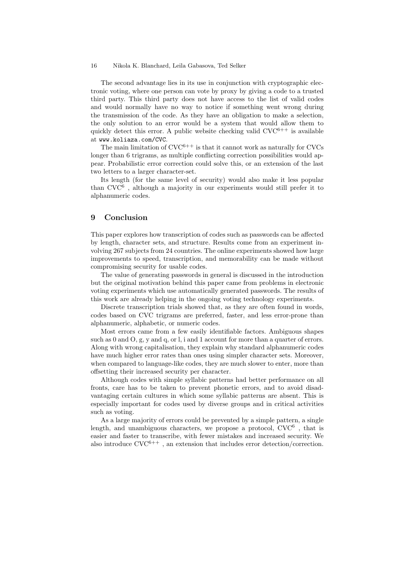The second advantage lies in its use in conjunction with cryptographic electronic voting, where one person can vote by proxy by giving a code to a trusted third party. This third party does not have access to the list of valid codes and would normally have no way to notice if something went wrong during the transmission of the code. As they have an obligation to make a selection, the only solution to an error would be a system that would allow them to quickly detect this error. A public website checking valid  $\text{CVC}^{6++}$  is available at www.koliaza.com/CVC.

The main limitation of  $\text{CVC}^{6++}$  is that it cannot work as naturally for CVCs longer than 6 trigrams, as multiple conflicting correction possibilities would appear. Probabilistic error correction could solve this, or an extension of the last two letters to a larger character-set.

Its length (for the same level of security) would also make it less popular than CVC<sup>6</sup> , although a majority in our experiments would still prefer it to alphanumeric codes.

### 9 Conclusion

This paper explores how transcription of codes such as passwords can be affected by length, character sets, and structure. Results come from an experiment involving 267 subjects from 24 countries. The online experiments showed how large improvements to speed, transcription, and memorability can be made without compromising security for usable codes.

The value of generating passwords in general is discussed in the introduction but the original motivation behind this paper came from problems in electronic voting experiments which use automatically generated passwords. The results of this work are already helping in the ongoing voting technology experiments.

Discrete transcription trials showed that, as they are often found in words, codes based on CVC trigrams are preferred, faster, and less error-prone than alphanumeric, alphabetic, or numeric codes.

Most errors came from a few easily identifiable factors. Ambiguous shapes such as 0 and O, g, y and q, or l, i and 1 account for more than a quarter of errors. Along with wrong capitalisation, they explain why standard alphanumeric codes have much higher error rates than ones using simpler character sets. Moreover, when compared to language-like codes, they are much slower to enter, more than offsetting their increased security per character.

Although codes with simple syllabic patterns had better performance on all fronts, care has to be taken to prevent phonetic errors, and to avoid disadvantaging certain cultures in which some syllabic patterns are absent. This is especially important for codes used by diverse groups and in critical activities such as voting.

As a large majority of errors could be prevented by a simple pattern, a single length, and unambiguous characters, we propose a protocol, CVC<sup>6</sup> , that is easier and faster to transcribe, with fewer mistakes and increased security. We also introduce  $\text{CVC}^{6++}$ , an extension that includes error detection/correction.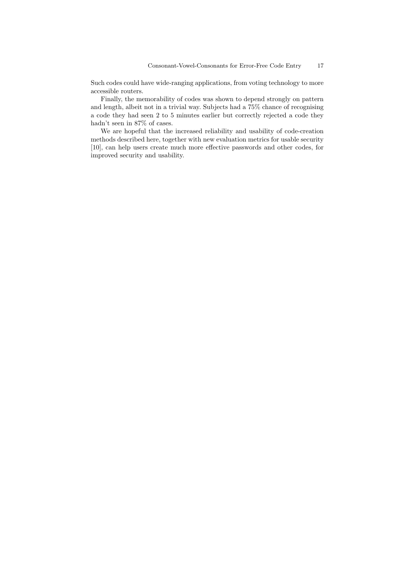Such codes could have wide-ranging applications, from voting technology to more accessible routers.

Finally, the memorability of codes was shown to depend strongly on pattern and length, albeit not in a trivial way. Subjects had a 75% chance of recognising a code they had seen 2 to 5 minutes earlier but correctly rejected a code they hadn't seen in 87% of cases.

We are hopeful that the increased reliability and usability of code-creation methods described here, together with new evaluation metrics for usable security [10], can help users create much more effective passwords and other codes, for improved security and usability.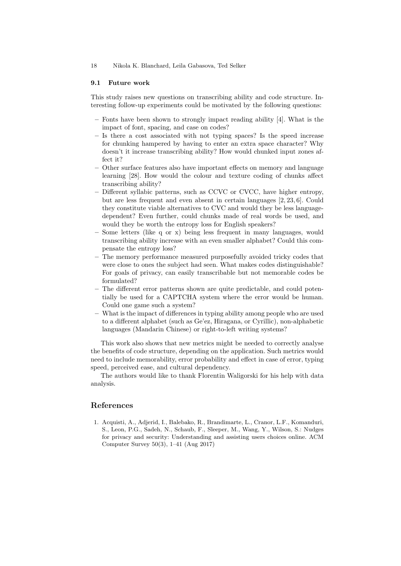#### 9.1 Future work

This study raises new questions on transcribing ability and code structure. Interesting follow-up experiments could be motivated by the following questions:

- Fonts have been shown to strongly impact reading ability [4]. What is the impact of font, spacing, and case on codes?
- Is there a cost associated with not typing spaces? Is the speed increase for chunking hampered by having to enter an extra space character? Why doesn't it increase transcribing ability? How would chunked input zones affect it?
- Other surface features also have important effects on memory and language learning [28]. How would the colour and texture coding of chunks affect transcribing ability?
- Different syllabic patterns, such as CCVC or CVCC, have higher entropy, but are less frequent and even absent in certain languages [2, 23, 6]. Could they constitute viable alternatives to CVC and would they be less languagedependent? Even further, could chunks made of real words be used, and would they be worth the entropy loss for English speakers?
- Some letters (like q or x) being less frequent in many languages, would transcribing ability increase with an even smaller alphabet? Could this compensate the entropy loss?
- The memory performance measured purposefully avoided tricky codes that were close to ones the subject had seen. What makes codes distinguishable? For goals of privacy, can easily transcribable but not memorable codes be formulated?
- The different error patterns shown are quite predictable, and could potentially be used for a CAPTCHA system where the error would be human. Could one game such a system?
- What is the impact of differences in typing ability among people who are used to a different alphabet (such as Ge'ez, Hiragana, or Cyrillic), non-alphabetic languages (Mandarin Chinese) or right-to-left writing systems?

This work also shows that new metrics might be needed to correctly analyse the benefits of code structure, depending on the application. Such metrics would need to include memorability, error probability and effect in case of error, typing speed, perceived ease, and cultural dependency.

The authors would like to thank Florentin Waligorski for his help with data analysis.

### References

1. Acquisti, A., Adjerid, I., Balebako, R., Brandimarte, L., Cranor, L.F., Komanduri, S., Leon, P.G., Sadeh, N., Schaub, F., Sleeper, M., Wang, Y., Wilson, S.: Nudges for privacy and security: Understanding and assisting users choices online. ACM Computer Survey 50(3), 1–41 (Aug 2017)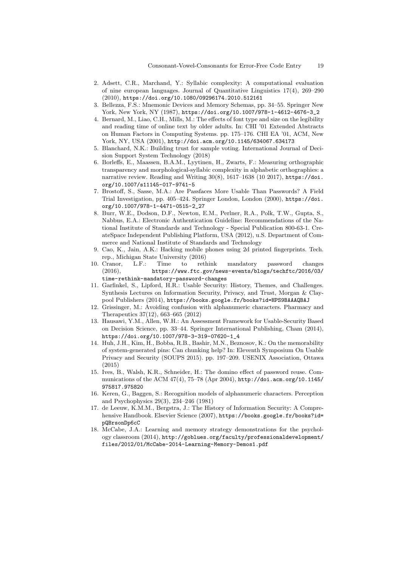- 2. Adsett, C.R., Marchand, Y.: Syllabic complexity: A computational evaluation of nine european languages. Journal of Quantitative Linguistics  $17(4)$ ,  $269-290$ (2010), https://doi.org/10.1080/09296174.2010.512161
- 3. Bellezza, F.S.: Mnemonic Devices and Memory Schemas, pp. 34–55. Springer New York, New York, NY (1987), https://doi.org/10.1007/978-1-4612-4676-3\_2
- 4. Bernard, M., Liao, C.H., Mills, M.: The effects of font type and size on the legibility and reading time of online text by older adults. In: CHI '01 Extended Abstracts on Human Factors in Computing Systems. pp. 175–176. CHI EA '01, ACM, New York, NY, USA (2001), http://doi.acm.org/10.1145/634067.634173
- 5. Blanchard, N.K.: Building trust for sample voting. International Journal of Decision Support System Technology (2018)
- 6. Borleffs, E., Maassen, B.A.M., Lyytinen, H., Zwarts, F.: Measuring orthographic transparency and morphological-syllabic complexity in alphabetic orthographies: a narrative review. Reading and Writing 30(8), 1617–1638 (10 2017), https://doi. org/10.1007/s11145-017-9741-5
- 7. Brostoff, S., Sasse, M.A.: Are Passfaces More Usable Than Passwords? A Field Trial Investigation, pp. 405–424. Springer London, London (2000), https://doi. org/10.1007/978-1-4471-0515-2\_27
- 8. Burr, W.E., Dodson, D.F., Newton, E.M., Perlner, R.A., Polk, T.W., Gupta, S., Nabbus, E.A.: Electronic Authentication Guideline: Recommendations of the National Institute of Standards and Technology - Special Publication 800-63-1. CreateSpace Independent Publishing Platform, USA (2012), u.S. Department of Commerce and National Institute of Standards and Technology
- 9. Cao, K., Jain, A.K.: Hacking mobile phones using 2d printed fingerprints. Tech. rep., Michigan State University (2016)
- 10. Cranor, L.F.: Time to rethink mandatory password changes (2016), https://www.ftc.gov/news-events/blogs/techftc/2016/03/ time-rethink-mandatory-password-changes
- 11. Garfinkel, S., Lipford, H.R.: Usable Security: History, Themes, and Challenges. Synthesis Lectures on Information Security, Privacy, and Trust, Morgan & Claypool Publishers (2014), https://books.google.fr/books?id=HPS9BAAAQBAJ
- 12. Grissinger, M.: Avoiding confusion with alphanumeric characters. Pharmacy and Therapeutics 37(12), 663–665 (2012)
- 13. Hausawi, Y.M., Allen, W.H.: An Assessment Framework for Usable-Security Based on Decision Science, pp. 33–44. Springer International Publishing, Cham (2014), https://doi.org/10.1007/978-3-319-07620-1\_4
- 14. Huh, J.H., Kim, H., Bobba, R.B., Bashir, M.N., Beznosov, K.: On the memorability of system-generated pins: Can chunking help? In: Eleventh Symposium On Usable Privacy and Security (SOUPS 2015). pp. 197–209. USENIX Association, Ottawa (2015)
- 15. Ives, B., Walsh, K.R., Schneider, H.: The domino effect of password reuse. Communications of the ACM  $47(4)$ ,  $75-78$  (Apr 2004), http://doi.acm.org/10.1145/ 975817.975820
- 16. Keren, G., Baggen, S.: Recognition models of alphanumeric characters. Perception and Psychophysics 29(3), 234–246 (1981)
- 17. de Leeuw, K.M.M., Bergstra, J.: The History of Information Security: A Comprehensive Handbook. Elsevier Science (2007), https://books.google.fr/books?id= pQBrsonDp6cC
- 18. McCabe, J.A.: Learning and memory strategy demonstrations for the psychology classroom (2014), http://goblues.org/faculty/professionaldevelopment/ files/2012/01/McCabe-2014-Learning-Memory-Demos1.pdf